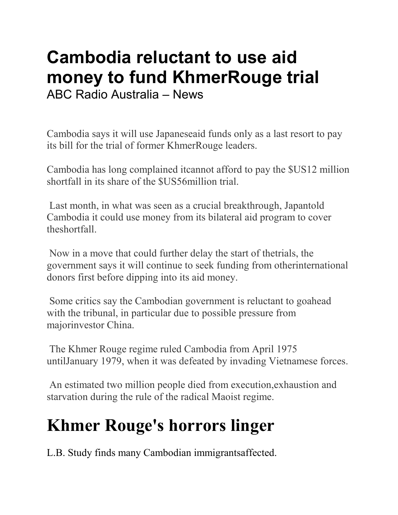## Cambodia reluctant to use aid money to fund KhmerRouge trial ABC Radio Australia – News

Cambodia says it will use Japaneseaid funds only as a last resort to pay its bill for the trial of former KhmerRouge leaders.

Cambodia has long complained itcannot afford to pay the \$US12 million shortfall in its share of the \$US56million trial.

 Last month, in what was seen as a crucial breakthrough, Japantold Cambodia it could use money from its bilateral aid program to cover theshortfall.

 Now in a move that could further delay the start of thetrials, the government says it will continue to seek funding from otherinternational donors first before dipping into its aid money.

 Some critics say the Cambodian government is reluctant to goahead with the tribunal, in particular due to possible pressure from majorinvestor China.

 The Khmer Rouge regime ruled Cambodia from April 1975 untilJanuary 1979, when it was defeated by invading Vietnamese forces.

 An estimated two million people died from execution,exhaustion and starvation during the rule of the radical Maoist regime.

## Khmer Rouge's horrors linger

L.B. Study finds many Cambodian immigrantsaffected.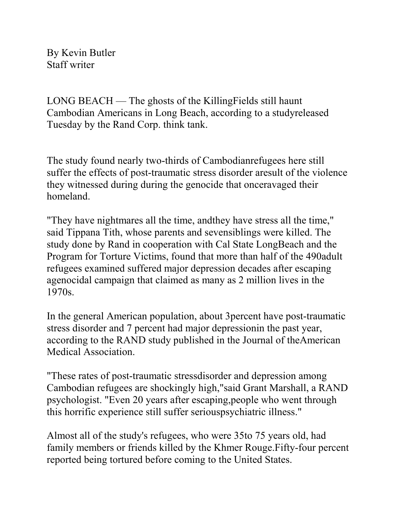By Kevin Butler Staff writer

LONG BEACH — The ghosts of the KillingFields still haunt Cambodian Americans in Long Beach, according to a studyreleased Tuesday by the Rand Corp. think tank.

The study found nearly two-thirds of Cambodianrefugees here still suffer the effects of post-traumatic stress disorder aresult of the violence they witnessed during during the genocide that onceravaged their homeland.

"They have nightmares all the time, andthey have stress all the time," said Tippana Tith, whose parents and sevensiblings were killed. The study done by Rand in cooperation with Cal State LongBeach and the Program for Torture Victims, found that more than half of the 490adult refugees examined suffered major depression decades after escaping agenocidal campaign that claimed as many as 2 million lives in the 1970s.

In the general American population, about 3percent have post-traumatic stress disorder and 7 percent had major depressionin the past year, according to the RAND study published in the Journal of theAmerican Medical Association.

"These rates of post-traumatic stressdisorder and depression among Cambodian refugees are shockingly high,"said Grant Marshall, a RAND psychologist. "Even 20 years after escaping,people who went through this horrific experience still suffer seriouspsychiatric illness."

Almost all of the study's refugees, who were 35to 75 years old, had family members or friends killed by the Khmer Rouge.Fifty-four percent reported being tortured before coming to the United States.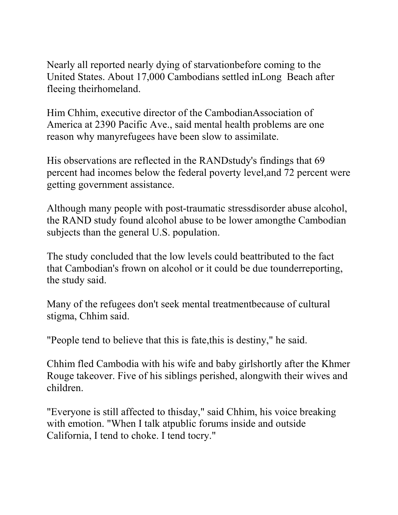Nearly all reported nearly dying of starvationbefore coming to the United States. About 17,000 Cambodians settled inLong Beach after fleeing theirhomeland.

Him Chhim, executive director of the CambodianAssociation of America at 2390 Pacific Ave., said mental health problems are one reason why manyrefugees have been slow to assimilate.

His observations are reflected in the RANDstudy's findings that 69 percent had incomes below the federal poverty level,and 72 percent were getting government assistance.

Although many people with post-traumatic stressdisorder abuse alcohol, the RAND study found alcohol abuse to be lower amongthe Cambodian subjects than the general U.S. population.

The study concluded that the low levels could beattributed to the fact that Cambodian's frown on alcohol or it could be due tounderreporting, the study said.

Many of the refugees don't seek mental treatmentbecause of cultural stigma, Chhim said.

"People tend to believe that this is fate,this is destiny," he said.

Chhim fled Cambodia with his wife and baby girlshortly after the Khmer Rouge takeover. Five of his siblings perished, alongwith their wives and children.

"Everyone is still affected to thisday," said Chhim, his voice breaking with emotion. "When I talk atpublic forums inside and outside California, I tend to choke. I tend tocry."